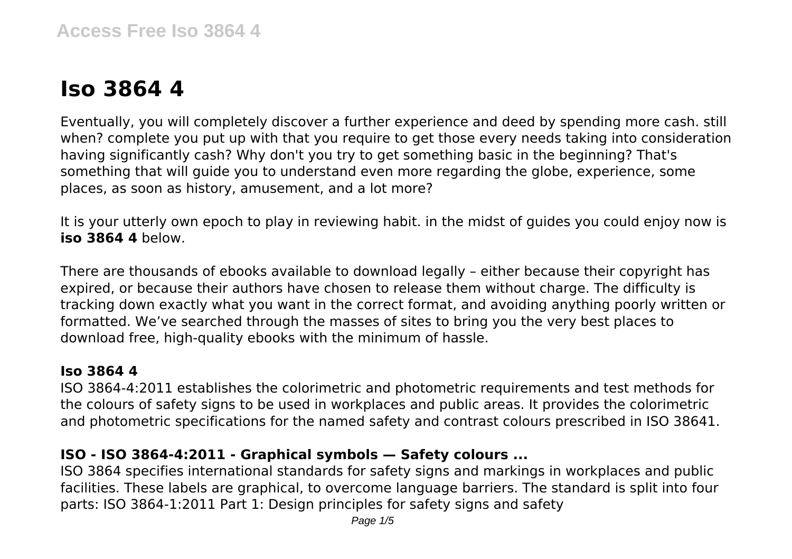# **Iso 3864 4**

Eventually, you will completely discover a further experience and deed by spending more cash. still when? complete you put up with that you require to get those every needs taking into consideration having significantly cash? Why don't you try to get something basic in the beginning? That's something that will guide you to understand even more regarding the globe, experience, some places, as soon as history, amusement, and a lot more?

It is your utterly own epoch to play in reviewing habit. in the midst of guides you could enjoy now is **iso 3864 4** below.

There are thousands of ebooks available to download legally – either because their copyright has expired, or because their authors have chosen to release them without charge. The difficulty is tracking down exactly what you want in the correct format, and avoiding anything poorly written or formatted. We've searched through the masses of sites to bring you the very best places to download free, high-quality ebooks with the minimum of hassle.

#### **Iso 3864 4**

ISO 3864-4:2011 establishes the colorimetric and photometric requirements and test methods for the colours of safety signs to be used in workplaces and public areas. It provides the colorimetric and photometric specifications for the named safety and contrast colours prescribed in ISO 38641.

# **ISO - ISO 3864-4:2011 - Graphical symbols — Safety colours ...**

ISO 3864 specifies international standards for safety signs and markings in workplaces and public facilities. These labels are graphical, to overcome language barriers. The standard is split into four parts: ISO 3864-1:2011 Part 1: Design principles for safety signs and safety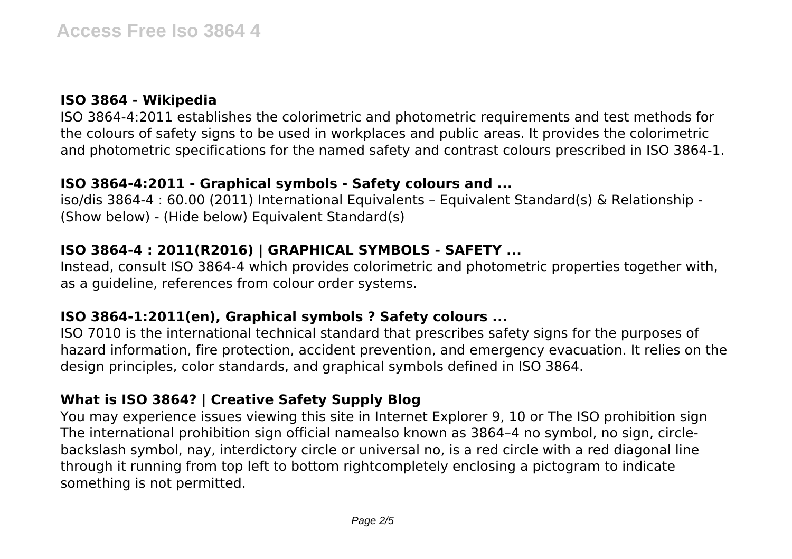# **ISO 3864 - Wikipedia**

ISO 3864-4:2011 establishes the colorimetric and photometric requirements and test methods for the colours of safety signs to be used in workplaces and public areas. It provides the colorimetric and photometric specifications for the named safety and contrast colours prescribed in ISO 3864-1.

#### **ISO 3864-4:2011 - Graphical symbols - Safety colours and ...**

iso/dis 3864-4 : 60.00 (2011) International Equivalents – Equivalent Standard(s) & Relationship - (Show below) - (Hide below) Equivalent Standard(s)

# **ISO 3864-4 : 2011(R2016) | GRAPHICAL SYMBOLS - SAFETY ...**

Instead, consult ISO 3864-4 which provides colorimetric and photometric properties together with, as a guideline, references from colour order systems.

# **ISO 3864-1:2011(en), Graphical symbols ? Safety colours ...**

ISO 7010 is the international technical standard that prescribes safety signs for the purposes of hazard information, fire protection, accident prevention, and emergency evacuation. It relies on the design principles, color standards, and graphical symbols defined in ISO 3864.

# **What is ISO 3864? | Creative Safety Supply Blog**

You may experience issues viewing this site in Internet Explorer 9, 10 or The ISO prohibition sign The international prohibition sign official namealso known as 3864–4 no symbol, no sign, circlebackslash symbol, nay, interdictory circle or universal no, is a red circle with a red diagonal line through it running from top left to bottom rightcompletely enclosing a pictogram to indicate something is not permitted.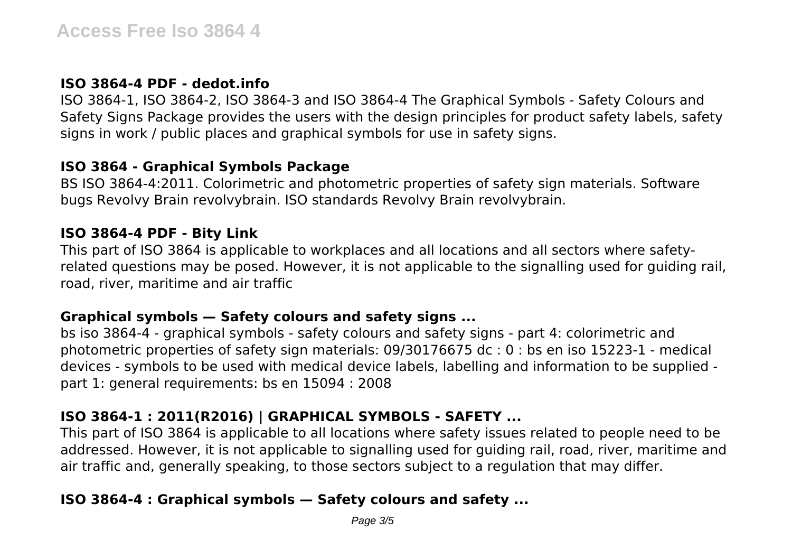#### **ISO 3864-4 PDF - dedot.info**

ISO 3864-1, ISO 3864-2, ISO 3864-3 and ISO 3864-4 The Graphical Symbols - Safety Colours and Safety Signs Package provides the users with the design principles for product safety labels, safety signs in work / public places and graphical symbols for use in safety signs.

# **ISO 3864 - Graphical Symbols Package**

BS ISO 3864-4:2011. Colorimetric and photometric properties of safety sign materials. Software bugs Revolvy Brain revolvybrain. ISO standards Revolvy Brain revolvybrain.

#### **ISO 3864-4 PDF - Bity Link**

This part of ISO 3864 is applicable to workplaces and all locations and all sectors where safetyrelated questions may be posed. However, it is not applicable to the signalling used for guiding rail, road, river, maritime and air traffic

# **Graphical symbols — Safety colours and safety signs ...**

bs iso 3864-4 - graphical symbols - safety colours and safety signs - part 4: colorimetric and photometric properties of safety sign materials: 09/30176675 dc : 0 : bs en iso 15223-1 - medical devices - symbols to be used with medical device labels, labelling and information to be supplied part 1: general requirements: bs en 15094 : 2008

# **ISO 3864-1 : 2011(R2016) | GRAPHICAL SYMBOLS - SAFETY ...**

This part of ISO 3864 is applicable to all locations where safety issues related to people need to be addressed. However, it is not applicable to signalling used for guiding rail, road, river, maritime and air traffic and, generally speaking, to those sectors subject to a regulation that may differ.

# **ISO 3864-4 : Graphical symbols — Safety colours and safety ...**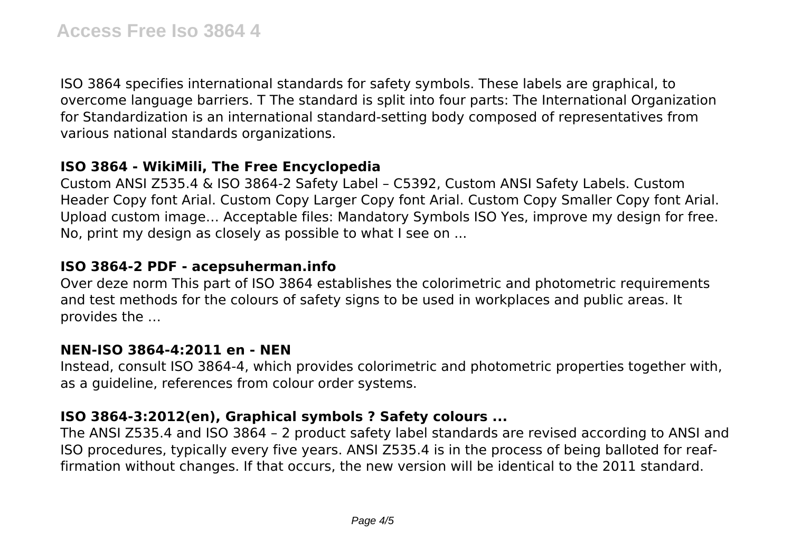ISO 3864 specifies international standards for safety symbols. These labels are graphical, to overcome language barriers. T The standard is split into four parts: The International Organization for Standardization is an international standard-setting body composed of representatives from various national standards organizations.

#### **ISO 3864 - WikiMili, The Free Encyclopedia**

Custom ANSI Z535.4 & ISO 3864-2 Safety Label – C5392, Custom ANSI Safety Labels. Custom Header Copy font Arial. Custom Copy Larger Copy font Arial. Custom Copy Smaller Copy font Arial. Upload custom image… Acceptable files: Mandatory Symbols ISO Yes, improve my design for free. No, print my design as closely as possible to what I see on ...

#### **ISO 3864-2 PDF - acepsuherman.info**

Over deze norm This part of ISO 3864 establishes the colorimetric and photometric requirements and test methods for the colours of safety signs to be used in workplaces and public areas. It provides the …

#### **NEN-ISO 3864-4:2011 en - NEN**

Instead, consult ISO 3864-4, which provides colorimetric and photometric properties together with, as a guideline, references from colour order systems.

#### **ISO 3864-3:2012(en), Graphical symbols ? Safety colours ...**

The ANSI Z535.4 and ISO 3864 – 2 product safety label standards are revised according to ANSI and ISO procedures, typically every five years. ANSI Z535.4 is in the process of being balloted for reaffirmation without changes. If that occurs, the new version will be identical to the 2011 standard.